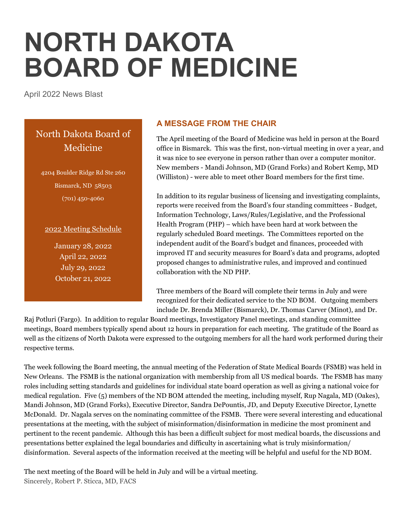# **NORTH DAKOTA BOARD OF MEDICINE**

April 2022 News Blast

# North Dakota Board of Medicine

4204 Boulder Ridge Rd Ste 260 Bismarck, ND 58503 (701) 450-4060

#### 2022 Meeting Schedule

January 28, 2022 April 22, 2022 July 29, 2022 October 21, 2022

# **A MESSAGE FROM THE CHAIR**

The April meeting of the Board of Medicine was held in person at the Board office in Bismarck. This was the first, non-virtual meeting in over a year, and it was nice to see everyone in person rather than over a computer monitor. New members - Mandi Johnson, MD (Grand Forks) and Robert Kemp, MD (Williston) - were able to meet other Board members for the first time.

In addition to its regular business of licensing and investigating complaints, reports were received from the Board's four standing committees - Budget, Information Technology, Laws/Rules/Legislative, and the Professional Health Program (PHP) – which have been hard at work between the regularly scheduled Board meetings. The Committees reported on the independent audit of the Board's budget and finances, proceeded with improved IT and security measures for Board's data and programs, adopted proposed changes to administrative rules, and improved and continued collaboration with the ND PHP.

Three members of the Board will complete their terms in July and were recognized for their dedicated service to the ND BOM. Outgoing members include Dr. Brenda Miller (Bismarck), Dr. Thomas Carver (Minot), and Dr.

Raj Potluri (Fargo). In addition to regular Board meetings, Investigatory Panel meetings, and standing committee meetings, Board members typically spend about 12 hours in preparation for each meeting. The gratitude of the Board as well as the citizens of North Dakota were expressed to the outgoing members for all the hard work performed during their respective terms.

The week following the Board meeting, the annual meeting of the Federation of State Medical Boards (FSMB) was held in New Orleans. The FSMB is the national organization with membership from all US medical boards. The FSMB has many roles including setting standards and guidelines for individual state board operation as well as giving a national voice for medical regulation. Five (5) members of the ND BOM attended the meeting, including myself, Rup Nagala, MD (Oakes), Mandi Johnson, MD (Grand Forks), Executive Director, Sandra DePountis, JD, and Deputy Executive Director, Lynette McDonald. Dr. Nagala serves on the nominating committee of the FSMB. There were several interesting and educational presentations at the meeting, with the subject of misinformation/disinformation in medicine the most prominent and pertinent to the recent pandemic. Although this has been a difficult subject for most medical boards, the discussions and presentations better explained the legal boundaries and difficulty in ascertaining what is truly misinformation/ disinformation. Several aspects of the information received at the meeting will be helpful and useful for the ND BOM.

The next meeting of the Board will be held in July and will be a virtual meeting. Sincerely, Robert P. Sticca, MD, FACS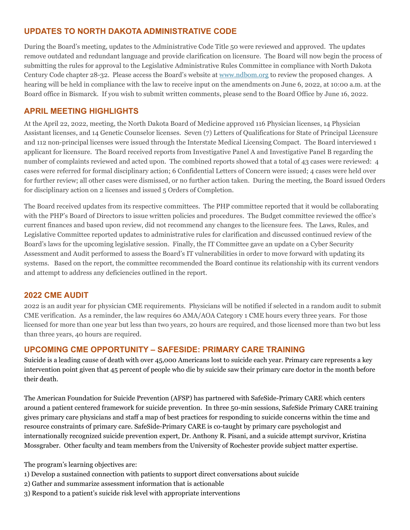# **UPDATES TO NORTH DAKOTA ADMINISTRATIVE CODE**

During the Board's meeting, updates to the Administrative Code Title 50 were reviewed and approved. The updates remove outdated and redundant language and provide clarification on licensure. The Board will now begin the process of submitting the rules for approval to the Legislative Administrative Rules Committee in compliance with North Dakota Century Code chapter 28-32. Please access the Board's website at [www.ndbom.org](http://www.ndbom.org/) to review the proposed changes. A hearing will be held in compliance with the law to receive input on the amendments on June 6, 2022, at 10:00 a.m. at the Board office in Bismarck. If you wish to submit written comments, please send to the Board Office by June 16, 2022.

# **APRIL MEETING HIGHLIGHTS**

At the April 22, 2022, meeting, the North Dakota Board of Medicine approved 116 Physician licenses, 14 Physician Assistant licenses, and 14 Genetic Counselor licenses. Seven (7) Letters of Qualifications for State of Principal Licensure and 112 non-principal licenses were issued through the Interstate Medical Licensing Compact. The Board interviewed 1 applicant for licensure. The Board received reports from Investigative Panel A and Investigative Panel B regarding the number of complaints reviewed and acted upon. The combined reports showed that a total of 43 cases were reviewed: 4 cases were referred for formal disciplinary action; 6 Confidential Letters of Concern were issued; 4 cases were held over for further review; all other cases were dismissed, or no further action taken. During the meeting, the Board issued Orders for disciplinary action on 2 licenses and issued 5 Orders of Completion.

The Board received updates from its respective committees. The PHP committee reported that it would be collaborating with the PHP's Board of Directors to issue written policies and procedures. The Budget committee reviewed the office's current finances and based upon review, did not recommend any changes to the licensure fees. The Laws, Rules, and Legislative Committee reported updates to administrative rules for clarification and discussed continued review of the Board's laws for the upcoming legislative session. Finally, the IT Committee gave an update on a Cyber Security Assessment and Audit performed to assess the Board's IT vulnerabilities in order to move forward with updating its systems. Based on the report, the committee recommended the Board continue its relationship with its current vendors and attempt to address any deficiencies outlined in the report.

## **2022 CME AUDIT**

2022 is an audit year for physician CME requirements. Physicians will be notified if selected in a random audit to submit CME verification. As a reminder, the law requires 60 AMA/AOA Category 1 CME hours every three years. For those licensed for more than one year but less than two years, 20 hours are required, and those licensed more than two but less than three years, 40 hours are required.

## **UPCOMING CME OPPORTUNITY – SAFESIDE: PRIMARY CARE TRAINING**

Suicide is a leading cause of death with over 45,000 Americans lost to suicide each year. Primary care represents a key intervention point given that 45 percent of people who die by suicide saw their primary care doctor in the month before their death.

The American Foundation for Suicide Prevention (AFSP) has partnered with SafeSide-Primary CARE which centers around a patient centered framework for suicide prevention. In three 50-min sessions, SafeSide Primary CARE training gives primary care physicians and staff a map of best practices for responding to suicide concerns within the time and resource constraints of primary care. SafeSide-Primary CARE is co-taught by primary care psychologist and internationally recognized suicide prevention expert, Dr. Anthony R. Pisani, and a suicide attempt survivor, Kristina Mossgraber. Other faculty and team members from the University of Rochester provide subject matter expertise.

The program's learning objectives are:

- 1) Develop a sustained connection with patients to support direct conversations about suicide
- 2) Gather and summarize assessment information that is actionable
- 3) Respond to a patient's suicide risk level with appropriate interventions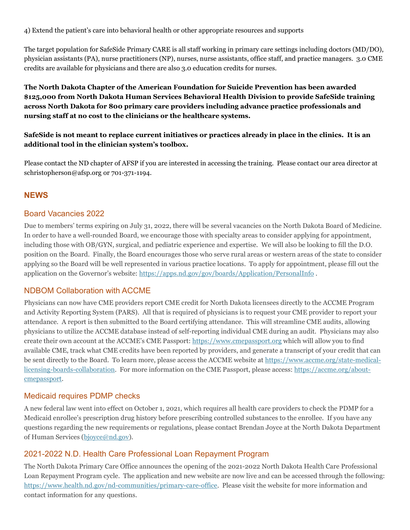4) Extend the patient's care into behavioral health or other appropriate resources and supports

The target population for SafeSide Primary CARE is all staff working in primary care settings including doctors (MD/DO), physician assistants (PA), nurse practitioners (NP), nurses, nurse assistants, office staff, and practice managers. 3.0 CME credits are available for physicians and there are also 3.0 education credits for nurses.

**The North Dakota Chapter of the American Foundation for Suicide Prevention has been awarded \$125,000 from North Dakota Human Services Behavioral Health Division to provide SafeSide training across North Dakota for 800 primary care providers including advance practice professionals and nursing staff at no cost to the clinicians or the healthcare systems.** 

**SafeSide is not meant to replace current initiatives or practices already in place in the clinics. It is an additional tool in the clinician system's toolbox.**

Please contact the ND chapter of AFSP if you are interested in accessing the training. Please contact our area director at schristopherson@afsp.org or 701-371-1194.

#### **NEWS**

#### Board Vacancies 2022

Due to members' terms expiring on July 31, 2022, there will be several vacancies on the North Dakota Board of Medicine. In order to have a well-rounded Board, we encourage those with specialty areas to consider applying for appointment, including those with OB/GYN, surgical, and pediatric experience and expertise. We will also be looking to fill the D.O. position on the Board. Finally, the Board encourages those who serve rural areas or western areas of the state to consider applying so the Board will be well represented in various practice locations. To apply for appointment, please fill out the application on the Governor's website:<https://apps.nd.gov/gov/boards/Application/PersonalInfo> .

#### NDBOM Collaboration with ACCME

Physicians can now have CME providers report CME credit for North Dakota licensees directly to the ACCME Program and Activity Reporting System (PARS). All that is required of physicians is to request your CME provider to report your attendance. A report is then submitted to the Board certifying attendance. This will streamline CME audits, allowing physicians to utilize the ACCME database instead of self-reporting individual CME during an audit. Physicians may also create their own account at the ACCME's CME Passport: [https://www.cmepassport.org](https://www.cmepassport.org/) which will allow you to find available CME, track what CME credits have been reported by providers, and generate a transcript of your credit that can be sent directly to the Board. To learn more, please access the ACCME website at [https://www.accme.org/state-medical](https://www.accme.org/state-medical-licensing-boards-collaboration)[licensing-boards-collaboration.](https://www.accme.org/state-medical-licensing-boards-collaboration) For more information on the CME Passport, please access[: https://accme.org/about](https://accme.org/about-cmepassport)[cmepassport.](https://accme.org/about-cmepassport)

#### Medicaid requires PDMP checks

A new federal law went into effect on October 1, 2021, which requires all health care providers to check the PDMP for a Medicaid enrollee's prescription drug history before prescribing controlled substances to the enrollee. If you have any questions regarding the new requirements or regulations, please contact Brendan Joyce at the North Dakota Department of Human Services [\(bjoyce@nd.gov\)](mailto:bjoyce@nd.gov).

#### 2021-2022 N.D. Health Care Professional Loan Repayment Program

The North Dakota Primary Care Office announces the opening of the 2021-2022 North Dakota Health Care Professional Loan Repayment Program cycle. The application and new website are now live and can be accessed through the following: [https://www.health.nd.gov/nd-communities/primary-care-office.](https://www.health.nd.gov/nd-communities/primary-care-office) Please visit the website for more information and contact information for any questions.